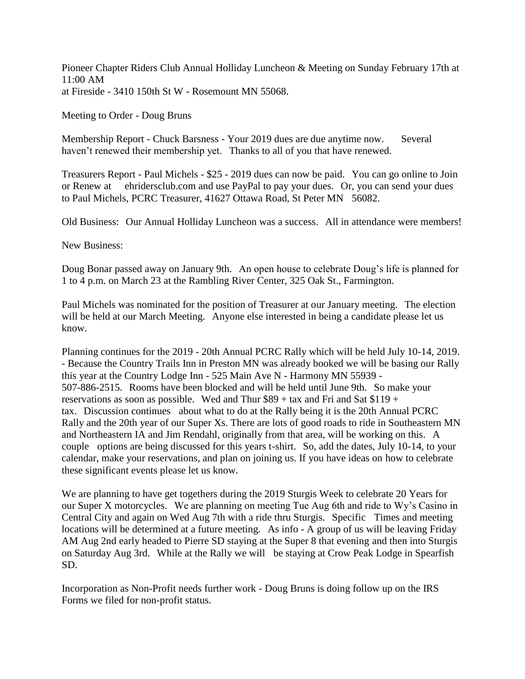Pioneer Chapter Riders Club Annual Holliday Luncheon & Meeting on Sunday February 17th at  $11:00$  AM Pioneer Chapter Riders Club Annual Holliday Luncheon &<br>11:00 AM<br>at Fireside - 3410 150th St W - Rosemount MN 55068.

Meeting to Order - Doug Bruns

11:00 AM<br>at Fireside - 3410 150th St W - Rosemount MN 55068.<br>Meeting to Order - Doug Bruns<br>Membership Report - Chuck Barsness - Your 2019 dues are due anytime now. Several<br>haven't renewed their membership yet. Thanks to al haven't renewed their membership yet. Thanks to all of you that have renewed.

Treasurers Report - Paul Michels - \$25 - 2019 dues can now be paid. You can go online to Join or Renew at ehridersclub.com and use PayPal to pay your dues. Or, you can send your dues to Paul Michels, PCRC Treasurer, 41627 Ottawa Road, St Peter MN 56082.

Old Business: Our Annual Holliday Luncheon was a success. All in attendance were members!

New Business:

Doug Bonar passed away on January 9th. An open house to celebrate Doug's life is planned for 1 to 4 p.m. on March 23 at the Rambling River Center, 325 Oak St., Farmington.

Paul Michels was nominated for the position of Treasurer at our January meeting. The election will be held at our March Meeting. Anyone else interested in being a candidate please let us know.

Planning continues for the 2019 - 20th Annual PCRC Rally which will be held July 10-14, 2019. - Because the Country Trails Inn in Preston MN was already booked we will be basing our Rally this year at the Country Lodge Inn - 525 Main Ave N - Harmony MN 55939 - 507-886-2515. Rooms have been blocked and will be held until June 9th. So make your reservations as soon as possible. Wed and Thur  $$89 + tax$  and Fri and Sat  $$119 +$ tax. Discussion continues about what to do at the Rally being it is the 20th Annual PCRC Rally and the 20th year of our Super Xs. There are lots of good roads to ride in Southeastern MN and Northeastern IA and Jim Rendahl, originally from that area, will be working on this. A couple options are being discussed for this years t-shirt. So, add the dates, July 10-14, to your calendar, make your reservations, and plan on joining us. If you have ideas on how to celebrate these significant events please let us know.

We are planning to have get togethers during the 2019 Sturgis Week to celebrate 20 Years for our Super X motorcycles. We are planning on meeting Tue Aug 6th and ride to Wy's Casino in Central City and again on Wed Aug 7th with a ride thru Sturgis. Specific Times and meeting locations will be determined at a future meeting. As info - A group of us will be leaving Friday AM Aug 2nd early headed to Pierre SD staying at the Super 8 that evening and then into Sturgis on Saturday Aug 3rd. While at the Rally we will be staying at Crow Peak Lodge in Spearfish SD.

Incorporation as Non-Profit needs further work - Doug Bruns is doing follow up on the IRS Forms we filed for non-profit status.